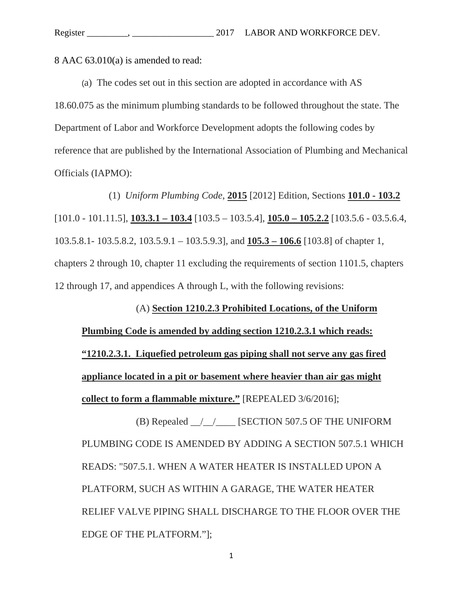8 AAC 63.010(a) is amended to read:

(a) The codes set out in this section are adopted in accordance with AS 18.60.075 as the minimum plumbing standards to be followed throughout the state. The Department of Labor and Workforce Development adopts the following codes by reference that are published by the International Association of Plumbing and Mechanical Officials (IAPMO):

 (1) *Uniform Plumbing Code*, **2015** [2012] Edition, Sections **101.0 - 103.2**  [101.0 - 101.11.5], **103.3.1 – 103.4** [103.5 – 103.5.4], **105.0 – 105.2.2** [103.5.6 - 03.5.6.4, 103.5.8.1- 103.5.8.2, 103.5.9.1 – 103.5.9.3], and **105.3 – 106.6** [103.8] of chapter 1, chapters 2 through 10, chapter 11 excluding the requirements of section 1101.5, chapters 12 through 17, and appendices A through L, with the following revisions:

 (A) **Section 1210.2.3 Prohibited Locations, of the Uniform Plumbing Code is amended by adding section 1210.2.3.1 which reads: "1210.2.3.1. Liquefied petroleum gas piping shall not serve any gas fired appliance located in a pit or basement where heavier than air gas might collect to form a flammable mixture."** [REPEALED 3/6/2016];

 (B) Repealed \_\_/\_\_/\_\_\_\_ [SECTION 507.5 OF THE UNIFORM PLUMBING CODE IS AMENDED BY ADDING A SECTION 507.5.1 WHICH READS: "507.5.1. WHEN A WATER HEATER IS INSTALLED UPON A PLATFORM, SUCH AS WITHIN A GARAGE, THE WATER HEATER RELIEF VALVE PIPING SHALL DISCHARGE TO THE FLOOR OVER THE EDGE OF THE PLATFORM."];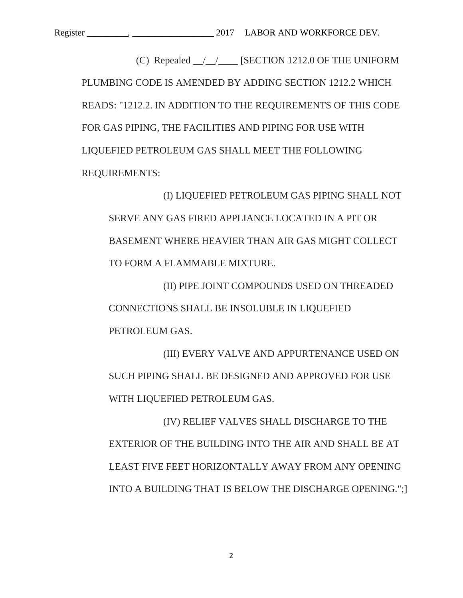(C) Repealed  $\frac{1}{2}$  [SECTION 1212.0 OF THE UNIFORM PLUMBING CODE IS AMENDED BY ADDING SECTION 1212.2 WHICH READS: "1212.2. IN ADDITION TO THE REQUIREMENTS OF THIS CODE FOR GAS PIPING, THE FACILITIES AND PIPING FOR USE WITH LIQUEFIED PETROLEUM GAS SHALL MEET THE FOLLOWING REQUIREMENTS:

 (I) LIQUEFIED PETROLEUM GAS PIPING SHALL NOT SERVE ANY GAS FIRED APPLIANCE LOCATED IN A PIT OR BASEMENT WHERE HEAVIER THAN AIR GAS MIGHT COLLECT TO FORM A FLAMMABLE MIXTURE.

 (II) PIPE JOINT COMPOUNDS USED ON THREADED CONNECTIONS SHALL BE INSOLUBLE IN LIQUEFIED PETROLEUM GAS.

 (III) EVERY VALVE AND APPURTENANCE USED ON SUCH PIPING SHALL BE DESIGNED AND APPROVED FOR USE WITH LIQUEFIED PETROLEUM GAS.

 (IV) RELIEF VALVES SHALL DISCHARGE TO THE EXTERIOR OF THE BUILDING INTO THE AIR AND SHALL BE AT LEAST FIVE FEET HORIZONTALLY AWAY FROM ANY OPENING INTO A BUILDING THAT IS BELOW THE DISCHARGE OPENING.";]

2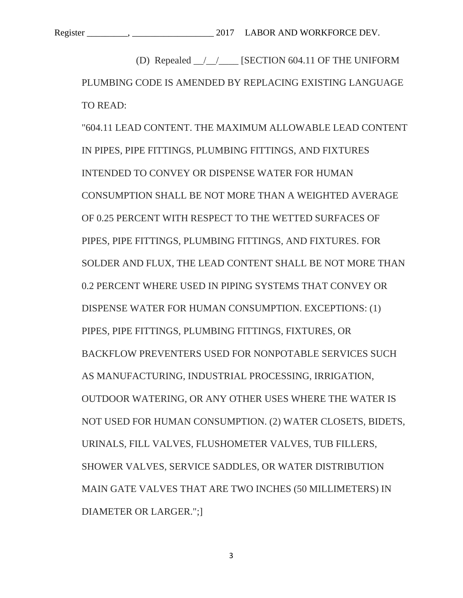(D) Repealed \_\_/\_\_/\_\_\_\_ [SECTION 604.11 OF THE UNIFORM PLUMBING CODE IS AMENDED BY REPLACING EXISTING LANGUAGE TO READ:

"604.11 LEAD CONTENT. THE MAXIMUM ALLOWABLE LEAD CONTENT IN PIPES, PIPE FITTINGS, PLUMBING FITTINGS, AND FIXTURES INTENDED TO CONVEY OR DISPENSE WATER FOR HUMAN CONSUMPTION SHALL BE NOT MORE THAN A WEIGHTED AVERAGE OF 0.25 PERCENT WITH RESPECT TO THE WETTED SURFACES OF PIPES, PIPE FITTINGS, PLUMBING FITTINGS, AND FIXTURES. FOR SOLDER AND FLUX, THE LEAD CONTENT SHALL BE NOT MORE THAN 0.2 PERCENT WHERE USED IN PIPING SYSTEMS THAT CONVEY OR DISPENSE WATER FOR HUMAN CONSUMPTION. EXCEPTIONS: (1) PIPES, PIPE FITTINGS, PLUMBING FITTINGS, FIXTURES, OR BACKFLOW PREVENTERS USED FOR NONPOTABLE SERVICES SUCH AS MANUFACTURING, INDUSTRIAL PROCESSING, IRRIGATION, OUTDOOR WATERING, OR ANY OTHER USES WHERE THE WATER IS NOT USED FOR HUMAN CONSUMPTION. (2) WATER CLOSETS, BIDETS, URINALS, FILL VALVES, FLUSHOMETER VALVES, TUB FILLERS, SHOWER VALVES, SERVICE SADDLES, OR WATER DISTRIBUTION MAIN GATE VALVES THAT ARE TWO INCHES (50 MILLIMETERS) IN DIAMETER OR LARGER.";]

3